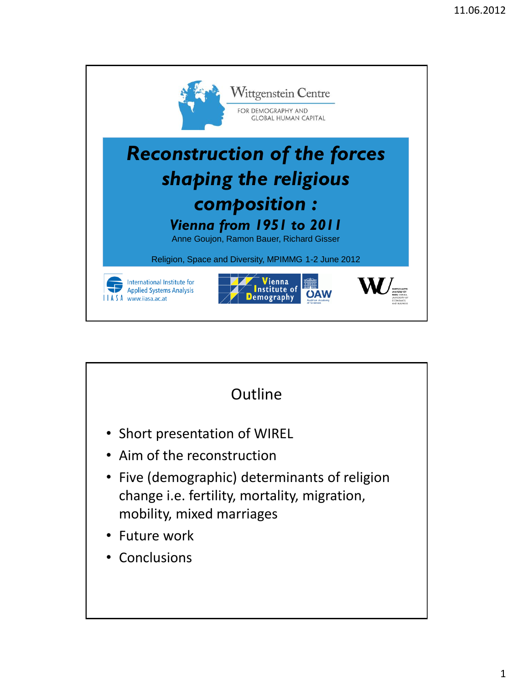

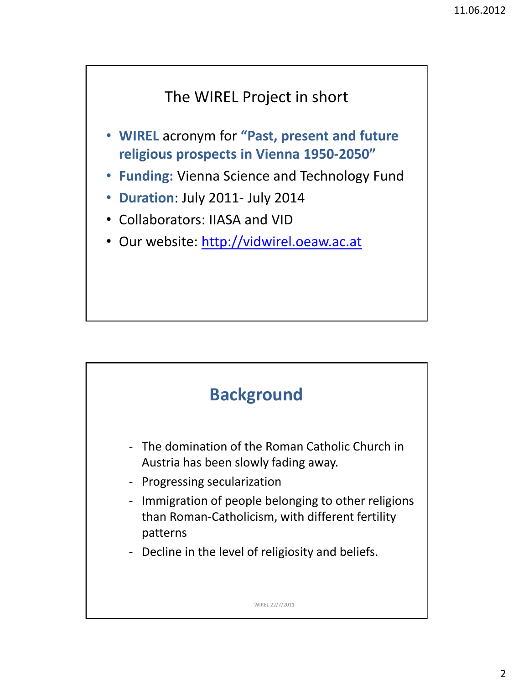## The WIREL Project in short

- **WIREL** acronym for **"Past, present and future religious prospects in Vienna 1950-2050"**
- **Funding:** Vienna Science and Technology Fund
- **Duration**: July 2011- July 2014
- Collaborators: IIASA and VID
- Our website: [http://vidwirel.oeaw.ac.at](http://vidwirel.oeaw.ac.at/)

## **Background**

- The domination of the Roman Catholic Church in Austria has been slowly fading away.
- Progressing secularization
- Immigration of people belonging to other religions than Roman-Catholicism, with different fertility patterns
- Decline in the level of religiosity and beliefs.

WIREL 22/7/2011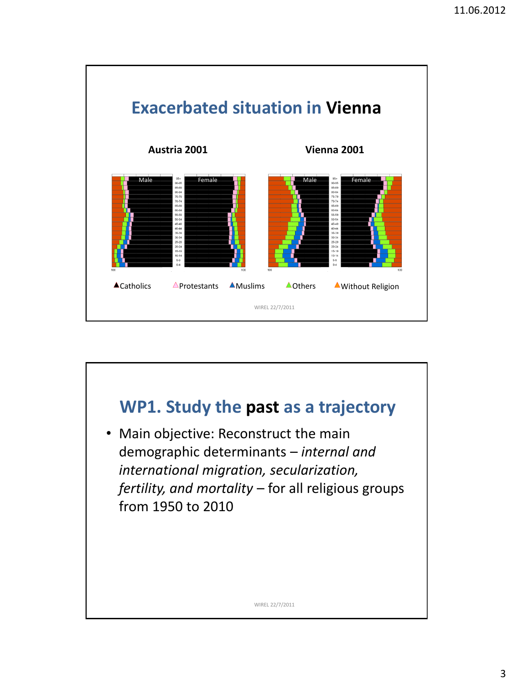

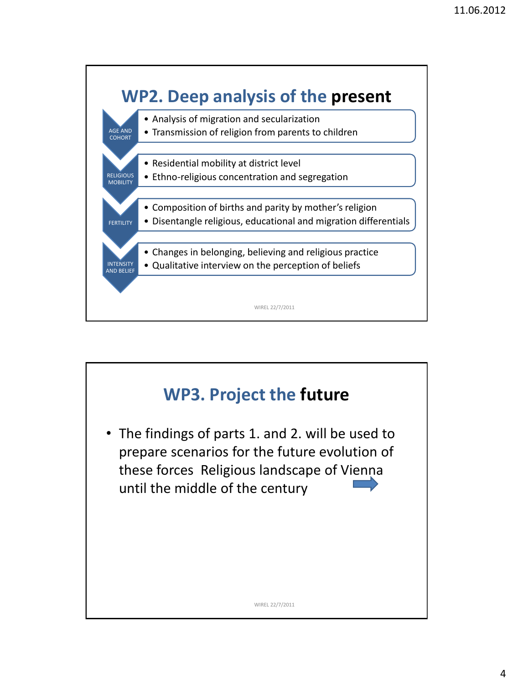

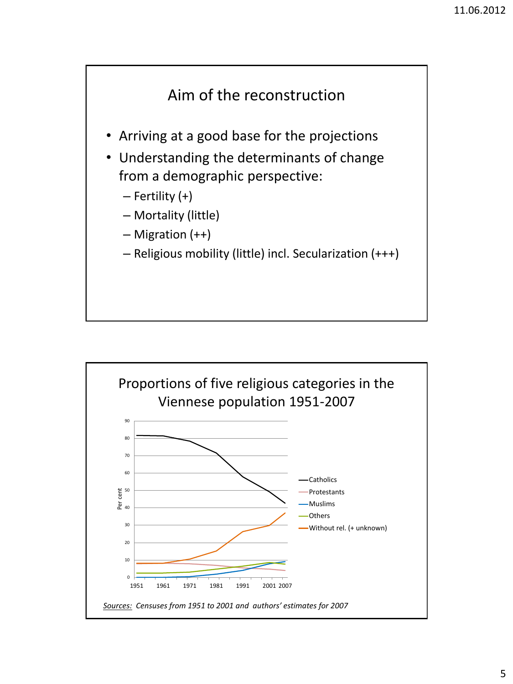

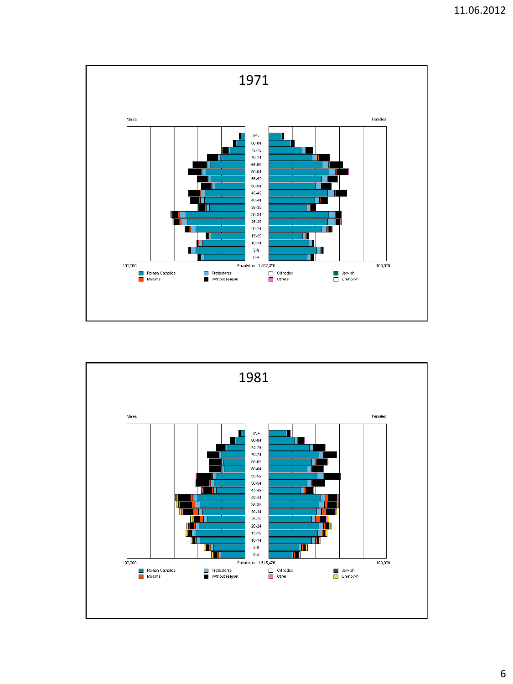

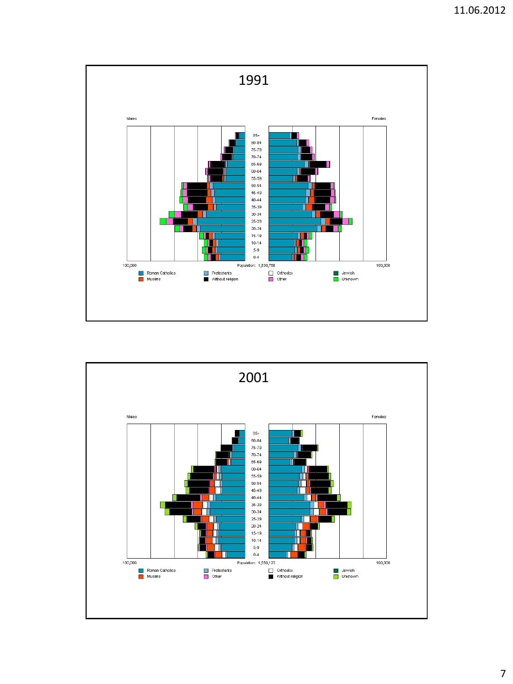

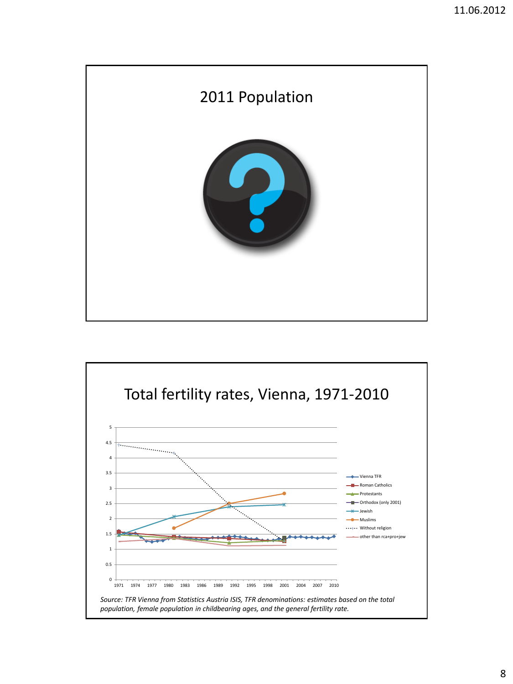

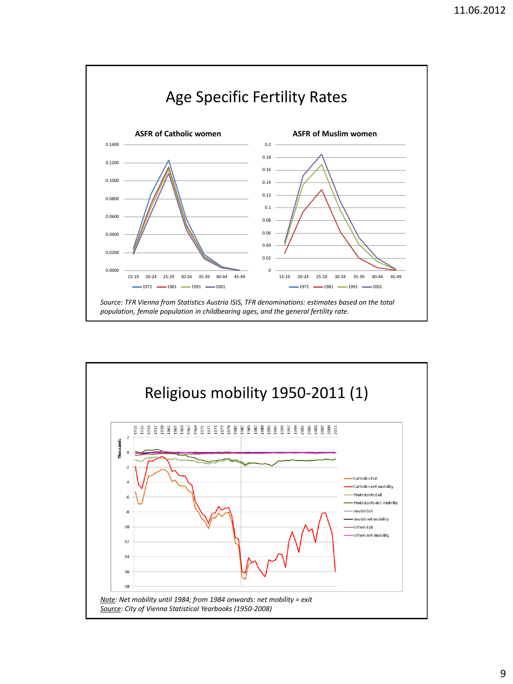

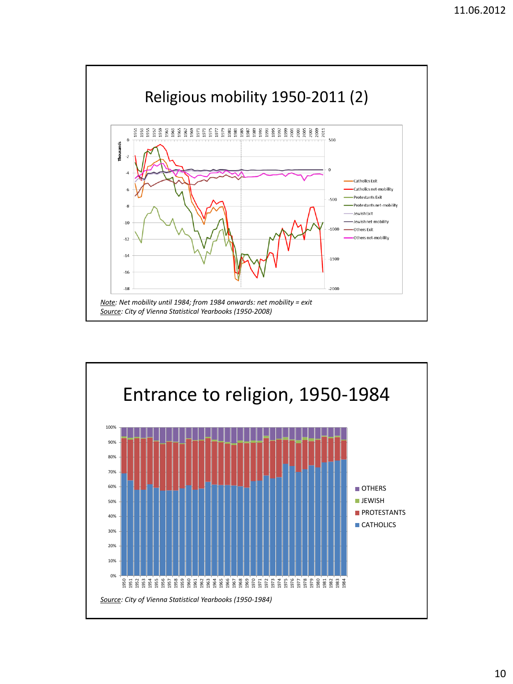

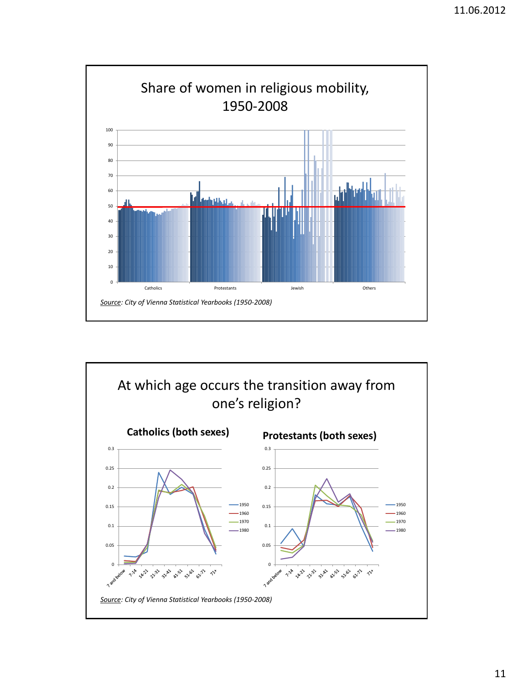

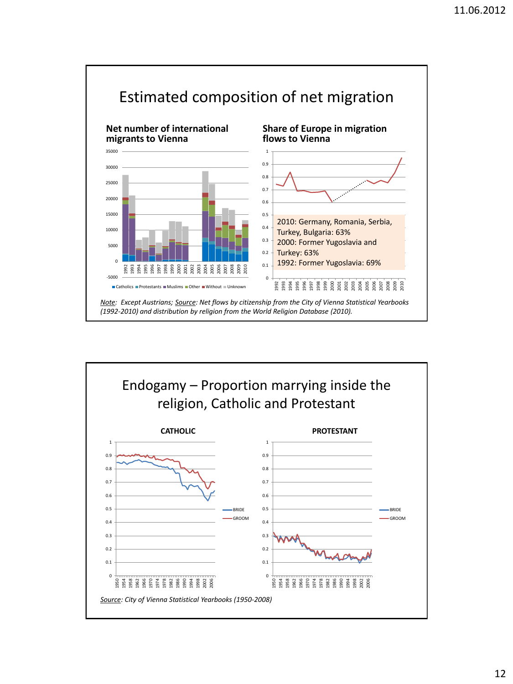

![](_page_11_Figure_2.jpeg)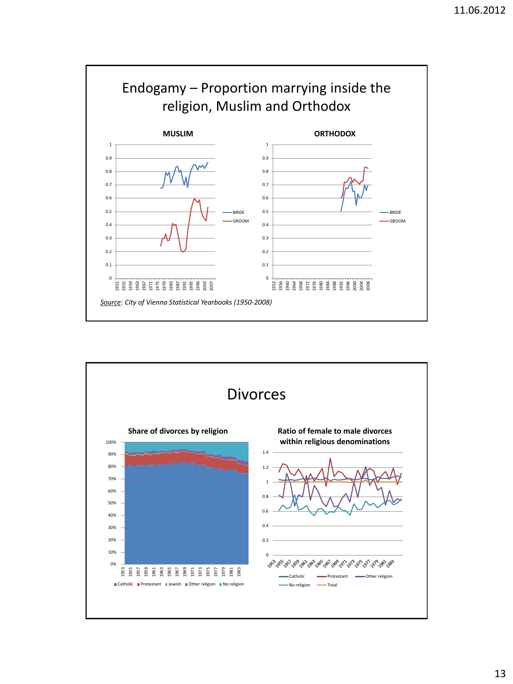![](_page_12_Figure_1.jpeg)

![](_page_12_Figure_2.jpeg)